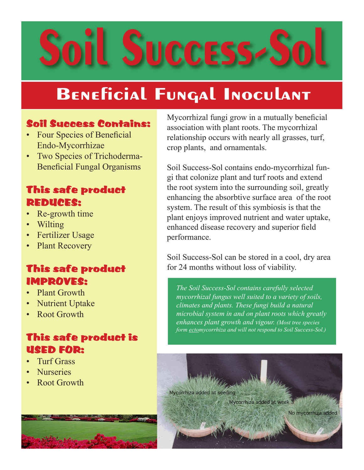## oil Success-S

## **Beneficial Fungal Inoculant**

## Soil Success Contains:

- Four Species of Beneficial Endo-Mycorrhizae
- Two Species of Trichoderma-Beneficial Fungal Organisms

## This safe product REDUCES:

- Re-growth time
- Wilting
- Fertilizer Usage
- **Plant Recovery**

## This safe product IMPROVES:

- Plant Growth
- Nutrient Uptake
- Root Growth

## This safe product is USED FOR:

- Turf Grass
- **Nurseries**
- Root Growth



Mycorrhizal fungi grow in a mutually beneficial association with plant roots. The mycorrhizal relationship occurs with nearly all grasses, turf, crop plants, and ornamentals.

Soil Success-Sol contains endo-mycorrhizal fungi that colonize plant and turf roots and extend the root system into the surrounding soil, greatly enhancing the absorbtive surface area of the root system. The result of this symbiosis is that the plant enjoys improved nutrient and water uptake, enhanced disease recovery and superior field performance.

Soil Success-Sol can be stored in a cool, dry area for 24 months without loss of viability.

*The Soil Success-Sol contains carefully selected mycorrhizal fungus well suited to a variety of soils, climates and plants. These fungi build a natural microbial system in and on plant roots which greatly enhances plant growth and vigour. (Most tree species form ectomycorrhiza and will not respond to Soil Success-Sol.)*

Mycorrhiza added at week 3

Mycorrhiza added at seeding

No mycorrhiza added